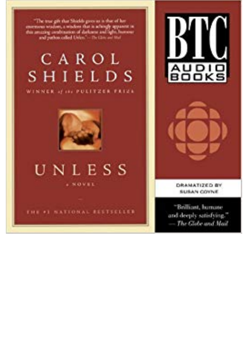

## CAROL SHIELDS







THE 41 NATIONAL RESTSEEER





**DRAMATIZED BY SUBAN COVNE** 

"Brilliant, humane and deeply satisfying." - The Globe and Mail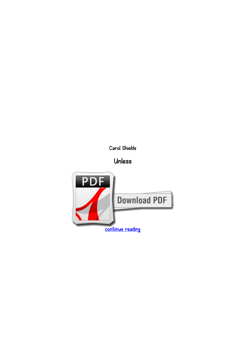*Carol Shields*

*Unless*

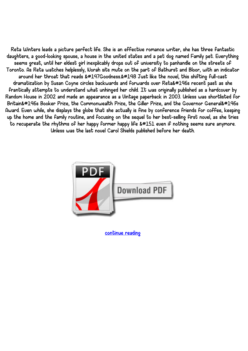*Reta Winters leads a picture perfect life. She is an effective romance writer, she has three fantastic daughters, a good-looking spouse, a house in the united states and a pet dog named Family pet. Everything seems great, until her eldest girl inexplicably drops out of university to panhandle on the streets of Toronto. As Reta watches helplessly, Norah sits mute on the part of Bathurst and Bloor, with an indicator* around her throat that reads &#147Goodness.&#148 Just like the novel, this shifting full-cast dramatization by Susan Coyne circles backwards and forwards over Reta&#146s recent past as she *frantically attempts to understand what unhinged her child. It was originally published as a hardcover by Random House in 2002 and made an appearance as a Vintage paperback in 2003. Unless was shortlisted for* Britain&#146s Booker Prize, the Commonwealth Prize, the Giller Prize, and the Governor General&#146s *Award. Even while, she displays the globe that she actually is fine by conference friends for coffee, keeping up the home and the family routine, and focusing on the sequel to her best-selling first novel, as she tries* to recuperate the rhythms of her happy former happy life &#151 even if nothing seems sure anymore. *Unless was the last novel Carol Shields published before her death.*



*[continue reading](http://bit.ly/2Tge8Fv)*